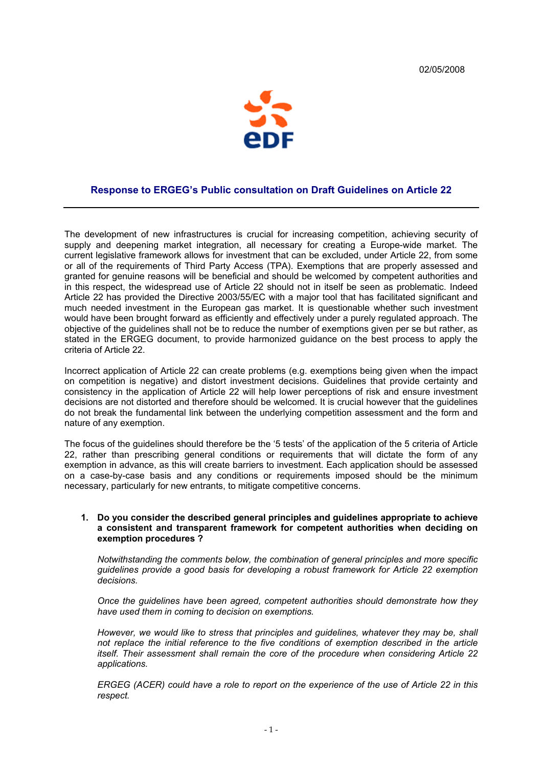

## **Response to ERGEG's Public consultation on Draft Guidelines on Article 22**

The development of new infrastructures is crucial for increasing competition, achieving security of supply and deepening market integration, all necessary for creating a Europe-wide market. The current legislative framework allows for investment that can be excluded, under Article 22, from some or all of the requirements of Third Party Access (TPA). Exemptions that are properly assessed and granted for genuine reasons will be beneficial and should be welcomed by competent authorities and in this respect, the widespread use of Article 22 should not in itself be seen as problematic. Indeed Article 22 has provided the Directive 2003/55/EC with a major tool that has facilitated significant and much needed investment in the European gas market. It is questionable whether such investment would have been brought forward as efficiently and effectively under a purely regulated approach. The objective of the guidelines shall not be to reduce the number of exemptions given per se but rather, as stated in the ERGEG document, to provide harmonized guidance on the best process to apply the criteria of Article 22.

Incorrect application of Article 22 can create problems (e.g. exemptions being given when the impact on competition is negative) and distort investment decisions. Guidelines that provide certainty and consistency in the application of Article 22 will help lower perceptions of risk and ensure investment decisions are not distorted and therefore should be welcomed. It is crucial however that the guidelines do not break the fundamental link between the underlying competition assessment and the form and nature of any exemption.

The focus of the guidelines should therefore be the '5 tests' of the application of the 5 criteria of Article 22, rather than prescribing general conditions or requirements that will dictate the form of any exemption in advance, as this will create barriers to investment. Each application should be assessed on a case-by-case basis and any conditions or requirements imposed should be the minimum necessary, particularly for new entrants, to mitigate competitive concerns.

#### **1. Do you consider the described general principles and guidelines appropriate to achieve a consistent and transparent framework for competent authorities when deciding on exemption procedures ?**

*Notwithstanding the comments below, the combination of general principles and more specific guidelines provide a good basis for developing a robust framework for Article 22 exemption decisions.* 

*Once the guidelines have been agreed, competent authorities should demonstrate how they have used them in coming to decision on exemptions.* 

*However, we would like to stress that principles and guidelines, whatever they may be, shall not replace the initial reference to the five conditions of exemption described in the article itself. Their assessment shall remain the core of the procedure when considering Article 22 applications.* 

*ERGEG (ACER) could have a role to report on the experience of the use of Article 22 in this respect.*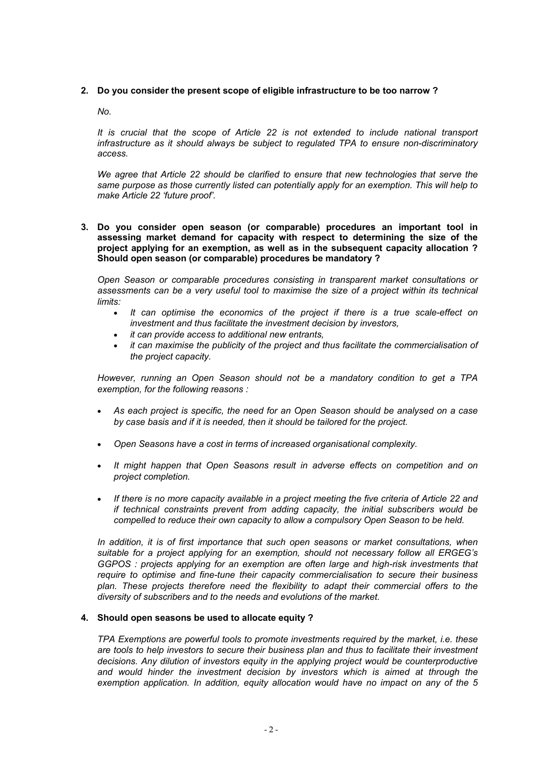## **2. Do you consider the present scope of eligible infrastructure to be too narrow ?**

*No.* 

*It is crucial that the scope of Article 22 is not extended to include national transport infrastructure as it should always be subject to regulated TPA to ensure non-discriminatory access.* 

*We agree that Article 22 should be clarified to ensure that new technologies that serve the same purpose as those currently listed can potentially apply for an exemption. This will help to make Article 22 'future proof'.* 

**3. Do you consider open season (or comparable) procedures an important tool in assessing market demand for capacity with respect to determining the size of the project applying for an exemption, as well as in the subsequent capacity allocation ? Should open season (or comparable) procedures be mandatory ?** 

*Open Season or comparable procedures consisting in transparent market consultations or*  assessments can be a very useful tool to maximise the size of a project within its technical *limits:* 

- *It can optimise the economics of the project if there is a true scale-effect on investment and thus facilitate the investment decision by investors,*
- *it can provide access to additional new entrants,*
- *it can maximise the publicity of the project and thus facilitate the commercialisation of the project capacity.*

*However, running an Open Season should not be a mandatory condition to get a TPA exemption, for the following reasons :* 

- *As each project is specific, the need for an Open Season should be analysed on a case by case basis and if it is needed, then it should be tailored for the project.*
- *Open Seasons have a cost in terms of increased organisational complexity.*
- *It might happen that Open Seasons result in adverse effects on competition and on project completion.*
- *If there is no more capacity available in a project meeting the five criteria of Article 22 and if technical constraints prevent from adding capacity, the initial subscribers would be compelled to reduce their own capacity to allow a compulsory Open Season to be held.*

*In addition, it is of first importance that such open seasons or market consultations, when suitable for a project applying for an exemption, should not necessary follow all ERGEG's GGPOS : projects applying for an exemption are often large and high-risk investments that require to optimise and fine-tune their capacity commercialisation to secure their business plan. These projects therefore need the flexibility to adapt their commercial offers to the diversity of subscribers and to the needs and evolutions of the market.*

# **4. Should open seasons be used to allocate equity ?**

*TPA Exemptions are powerful tools to promote investments required by the market, i.e. these are tools to help investors to secure their business plan and thus to facilitate their investment decisions. Any dilution of investors equity in the applying project would be counterproductive*  and would hinder the investment decision by investors which is aimed at through the *exemption application. In addition, equity allocation would have no impact on any of the 5*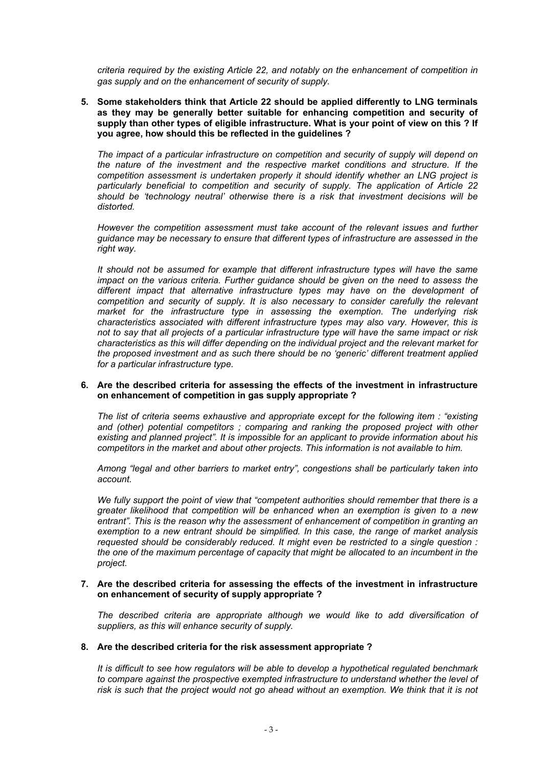*criteria required by the existing Article 22, and notably on the enhancement of competition in gas supply and on the enhancement of security of supply.* 

**5. Some stakeholders think that Article 22 should be applied differently to LNG terminals as they may be generally better suitable for enhancing competition and security of supply than other types of eligible infrastructure. What is your point of view on this ? If you agree, how should this be reflected in the guidelines ?** 

*The impact of a particular infrastructure on competition and security of supply will depend on the nature of the investment and the respective market conditions and structure. If the competition assessment is undertaken properly it should identify whether an LNG project is particularly beneficial to competition and security of supply. The application of Article 22 should be 'technology neutral' otherwise there is a risk that investment decisions will be distorted.* 

*However the competition assessment must take account of the relevant issues and further guidance may be necessary to ensure that different types of infrastructure are assessed in the right way.* 

*It should not be assumed for example that different infrastructure types will have the same impact on the various criteria. Further guidance should be given on the need to assess the different impact that alternative infrastructure types may have on the development of competition and security of supply. It is also necessary to consider carefully the relevant market for the infrastructure type in assessing the exemption. The underlying risk characteristics associated with different infrastructure types may also vary. However, this is not to say that all projects of a particular infrastructure type will have the same impact or risk characteristics as this will differ depending on the individual project and the relevant market for the proposed investment and as such there should be no 'generic' different treatment applied for a particular infrastructure type.* 

#### **6. Are the described criteria for assessing the effects of the investment in infrastructure on enhancement of competition in gas supply appropriate ?**

*The list of criteria seems exhaustive and appropriate except for the following item : "existing and (other) potential competitors ; comparing and ranking the proposed project with other existing and planned project". It is impossible for an applicant to provide information about his competitors in the market and about other projects. This information is not available to him.* 

*Among "legal and other barriers to market entry", congestions shall be particularly taken into account.* 

*We fully support the point of view that "competent authorities should remember that there is a greater likelihood that competition will be enhanced when an exemption is given to a new entrant". This is the reason why the assessment of enhancement of competition in granting an exemption to a new entrant should be simplified. In this case, the range of market analysis requested should be considerably reduced. It might even be restricted to a single question : the one of the maximum percentage of capacity that might be allocated to an incumbent in the project.* 

#### **7. Are the described criteria for assessing the effects of the investment in infrastructure on enhancement of security of supply appropriate ?**

*The described criteria are appropriate although we would like to add diversification of suppliers, as this will enhance security of supply.* 

#### **8. Are the described criteria for the risk assessment appropriate ?**

*It is difficult to see how regulators will be able to develop a hypothetical regulated benchmark to compare against the prospective exempted infrastructure to understand whether the level of risk is such that the project would not go ahead without an exemption. We think that it is not*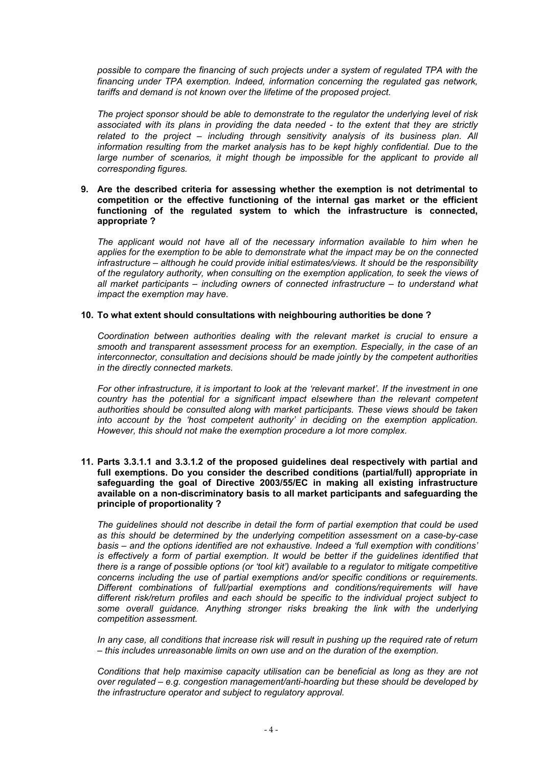*possible to compare the financing of such projects under a system of regulated TPA with the financing under TPA exemption. Indeed, information concerning the regulated gas network, tariffs and demand is not known over the lifetime of the proposed project.* 

*The project sponsor should be able to demonstrate to the regulator the underlying level of risk associated with its plans in providing the data needed - to the extent that they are strictly related to the project – including through sensitivity analysis of its business plan. All information resulting from the market analysis has to be kept highly confidential. Due to the*  large number of scenarios, it might though be impossible for the applicant to provide all *corresponding figures.*

**9. Are the described criteria for assessing whether the exemption is not detrimental to competition or the effective functioning of the internal gas market or the efficient functioning of the regulated system to which the infrastructure is connected, appropriate ?** 

*The applicant would not have all of the necessary information available to him when he applies for the exemption to be able to demonstrate what the impact may be on the connected infrastructure – although he could provide initial estimates/views. It should be the responsibility of the regulatory authority, when consulting on the exemption application, to seek the views of all market participants – including owners of connected infrastructure – to understand what impact the exemption may have.*

## **10. To what extent should consultations with neighbouring authorities be done ?**

*Coordination between authorities dealing with the relevant market is crucial to ensure a smooth and transparent assessment process for an exemption. Especially, in the case of an interconnector, consultation and decisions should be made jointly by the competent authorities in the directly connected markets.* 

*For other infrastructure, it is important to look at the 'relevant market'. If the investment in one country has the potential for a significant impact elsewhere than the relevant competent authorities should be consulted along with market participants. These views should be taken into account by the 'host competent authority' in deciding on the exemption application. However, this should not make the exemption procedure a lot more complex.* 

**11. Parts 3.3.1.1 and 3.3.1.2 of the proposed guidelines deal respectively with partial and full exemptions. Do you consider the described conditions (partial/full) appropriate in safeguarding the goal of Directive 2003/55/EC in making all existing infrastructure available on a non-discriminatory basis to all market participants and safeguarding the principle of proportionality ?** 

*The guidelines should not describe in detail the form of partial exemption that could be used as this should be determined by the underlying competition assessment on a case-by-case basis – and the options identified are not exhaustive. Indeed a 'full exemption with conditions' is effectively a form of partial exemption. It would be better if the quidelines identified that there is a range of possible options (or 'tool kit') available to a regulator to mitigate competitive concerns including the use of partial exemptions and/or specific conditions or requirements. Different combinations of full/partial exemptions and conditions/requirements will have different risk/return profiles and each should be specific to the individual project subject to some overall guidance. Anything stronger risks breaking the link with the underlying competition assessment.* 

*In any case, all conditions that increase risk will result in pushing up the required rate of return – this includes unreasonable limits on own use and on the duration of the exemption.* 

*Conditions that help maximise capacity utilisation can be beneficial as long as they are not over regulated – e.g. congestion management/anti-hoarding but these should be developed by the infrastructure operator and subject to regulatory approval.*